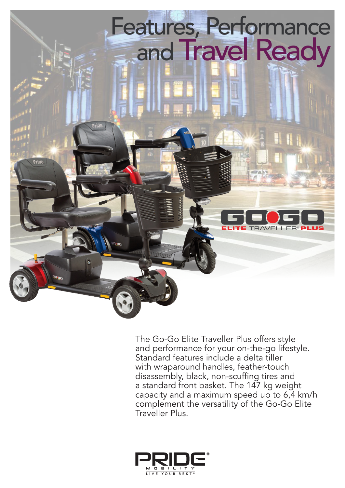

The Go-Go Elite Traveller Plus offers style and performance for your on-the-go lifestyle. Standard features include a delta tiller with wraparound handles, feather-touch disassembly, black, non-scuffing tires and a standard front basket. The 147 kg weight capacity and a maximum speed up to 6,4 km/h complement the versatility of the Go-Go Elite Traveller Plus.